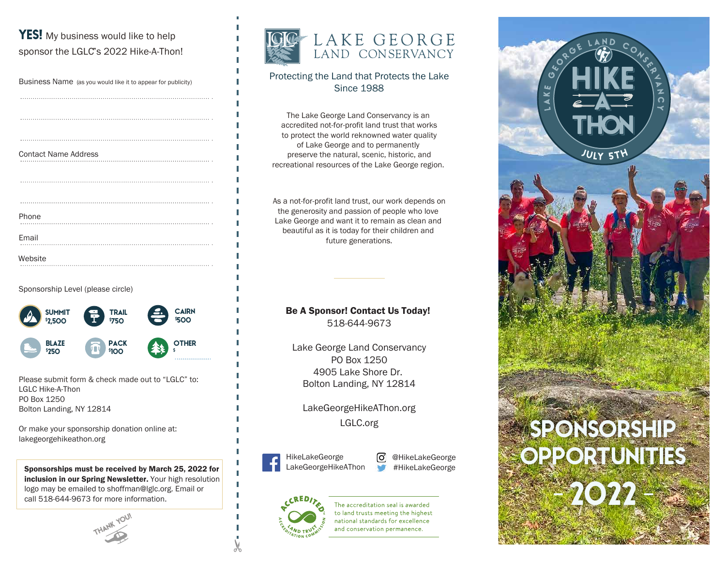# **YES!** My business would like to help sponsor the LGLC"s 2022 Hike-A-Thon!

| Business Name (as you would like it to appear for publicity) |
|--------------------------------------------------------------|
|                                                              |
|                                                              |
|                                                              |
| <b>Contact Name Address</b>                                  |
|                                                              |
|                                                              |
|                                                              |
| Phone                                                        |
| Email                                                        |
| Website                                                      |

Sponsorship Level (please circle)



Please submit form & check made out to "LGLC" to: LGLC Hike-A-Thon PO Box 1250 Bolton Landing, NY 12814

Or make your sponsorship donation online at: lakegeorgehikeathon.org

Sponsorships must be received by March 25, 2022 for inclusion in our Spring Newsletter. Your high resolution logo may be emailed to shoffman@lglc.org. Email or call 518-644-9673 for more information.

THANK YOU!



## Protecting the Land that Protects the Lake Since 1988

The Lake George Land Conservancy is an accredited not-for-profit land trust that works to protect the world reknowned water quality of Lake George and to permanently preserve the natural, scenic, historic, and recreational resources of the Lake George region.

As a not-for-profit land trust, our work depends on the generosity and passion of people who love Lake George and want it to remain as clean and beautiful as it is today for their children and future generations.

### Be A Sponsor! Contact Us Today! 518-644-9673

Lake George Land Conservancy PO Box 1250 4905 Lake Shore Dr. Bolton Landing, NY 12814

LakeGeorgeHikeAThon.org LGLC.org



ල @HikeLakeGeorge #HikeLakeGeorge



The accreditation seal is awarded to land trusts meeting the highest national standards for excellence and conservation permanence.